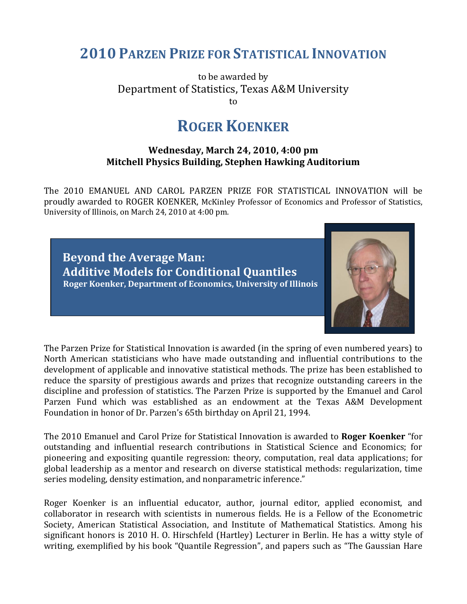## **2010 PARZEN PRIZE FOR STATISTICAL INNOVATION**

to be awarded by Department of Statistics, Texas A&M University to

## **ROGER KOENKER**

## **Wednesday, March 24, 2010, 4:00 pm Mitchell Physics Building, Stephen Hawking Auditorium**

The 2010 EMANUEL AND CAROL PARZEN PRIZE FOR STATISTICAL INNOVATION will be proudly awarded to ROGER KOENKER, McKinley Professor of Economics and Professor of Statistics, University of Illinois, on March 24, 2010 at 4:00 pm.

 **Beyond the Average Man: Additive Models for Conditional Quantiles Roger Koenker, Department of Economics, University of Illinois**



The Parzen Prize for Statistical Innovation is awarded (in the spring of even numbered years) to North American statisticians who have made outstanding and influential contributions to the development of applicable and innovative statistical methods. The prize has been established to reduce the sparsity of prestigious awards and prizes that recognize outstanding careers in the discipline and profession of statistics. The Parzen Prize is supported by the Emanuel and Carol Parzen Fund which was established as an endowment at the Texas A&M Development Foundation in honor of Dr. Parzen's 65th birthday on April 21, 1994.

The 2010 Emanuel and Carol Prize for Statistical Innovation is awarded to **Roger Koenker** "for outstanding and influential research contributions in Statistical Science and Economics; for pioneering and expositing quantile regression: theory, computation, real data applications; for global leadership as a mentor and research on diverse statistical methods: regularization, time series modeling, density estimation, and nonparametric inference."

Roger Koenker is an influential educator, author, journal editor, applied economist, and collaborator in research with scientists in numerous fields. He is a Fellow of the Econometric Society, American Statistical Association, and Institute of Mathematical Statistics. Among his significant honors is 2010 H. O. Hirschfeld (Hartley) Lecturer in Berlin. He has a witty style of writing, exemplified by his book "Quantile Regression", and papers such as "The Gaussian Hare